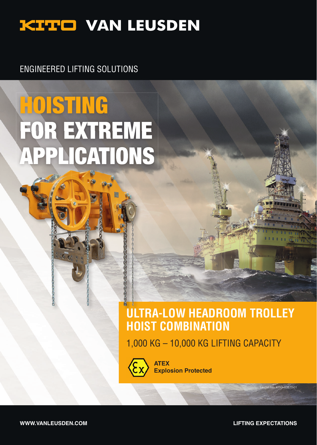## **KITO VAN LEUSDEN**

ENGINEERED LIFTING SOLUTIONS

# **DISTING** FOR EXTREME APPLICATIONS

### **ULTRA-LOW HEADROOM TROLLEY HOIST COMBINATION**

1,000 KG – 10,000 KG LIFTING CAPACITY



**ATEX Explosion Protected**

**WWW.VANLEUSDEN.COM LIFTING EXPECTATIONS** 

aflet No. KITO-83870.01

**NETTER**